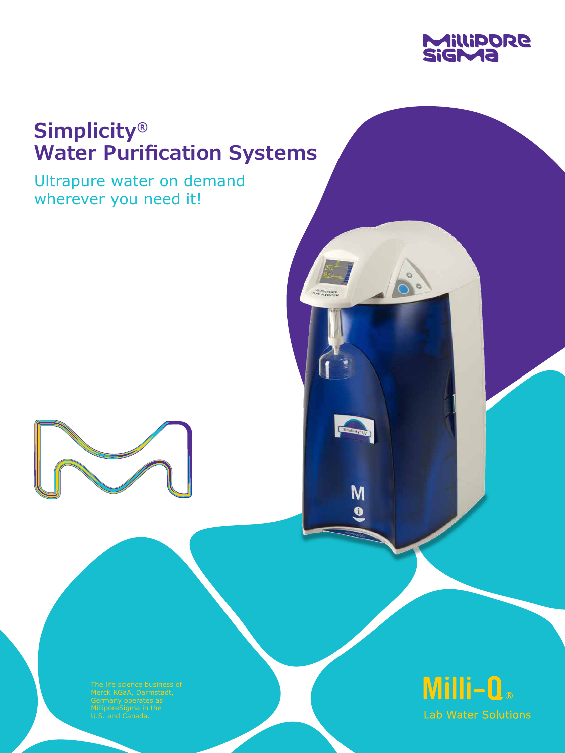

# **Simplicity® Water Purification Systems**

Ultrapure water on demand wherever you need it!





M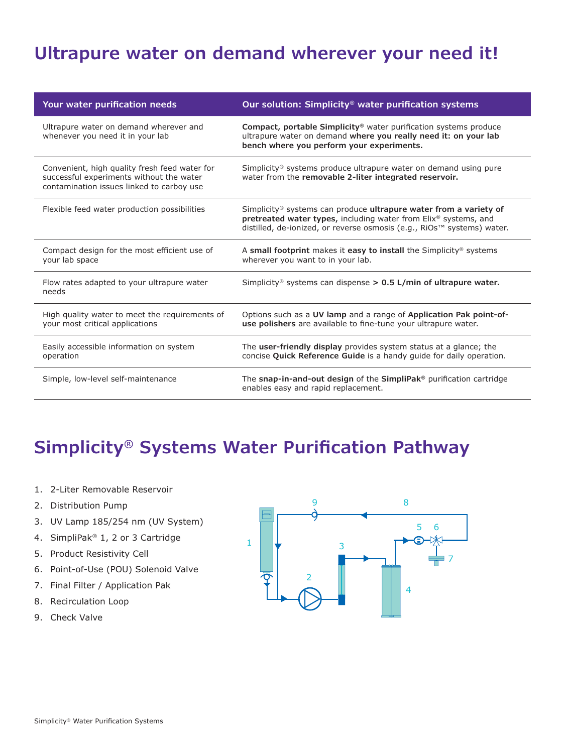# **Ultrapure water on demand wherever your need it!**

| Your water purification needs                                                                                                          | Our solution: Simplicity <sup>®</sup> water purification systems                                                                                                                                                                  |
|----------------------------------------------------------------------------------------------------------------------------------------|-----------------------------------------------------------------------------------------------------------------------------------------------------------------------------------------------------------------------------------|
| Ultrapure water on demand wherever and<br>whenever you need it in your lab                                                             | Compact, portable Simplicity <sup>®</sup> water purification systems produce<br>ultrapure water on demand where you really need it: on your lab<br>bench where you perform your experiments.                                      |
| Convenient, high quality fresh feed water for<br>successful experiments without the water<br>contamination issues linked to carboy use | Simplicity <sup>®</sup> systems produce ultrapure water on demand using pure<br>water from the removable 2-liter integrated reservoir.                                                                                            |
| Flexible feed water production possibilities                                                                                           | Simplicity <sup>®</sup> systems can produce <b>ultrapure water from a variety of</b><br>pretreated water types, including water from Elix® systems, and<br>distilled, de-ionized, or reverse osmosis (e.g., RiOs™ systems) water. |
| Compact design for the most efficient use of<br>your lab space                                                                         | A small footprint makes it easy to install the Simplicity <sup>®</sup> systems<br>wherever you want to in your lab.                                                                                                               |
| Flow rates adapted to your ultrapure water<br>needs                                                                                    | Simplicity <sup>®</sup> systems can dispense $> 0.5$ L/min of ultrapure water.                                                                                                                                                    |
| High quality water to meet the requirements of<br>your most critical applications                                                      | Options such as a UV lamp and a range of Application Pak point-of-<br>use polishers are available to fine-tune your ultrapure water.                                                                                              |
| Easily accessible information on system<br>operation                                                                                   | The user-friendly display provides system status at a glance; the<br>concise Quick Reference Guide is a handy quide for daily operation.                                                                                          |
| Simple, low-level self-maintenance                                                                                                     | The snap-in-and-out design of the SimpliPak <sup>®</sup> purification cartridge<br>enables easy and rapid replacement.                                                                                                            |

# **Simplicity® Systems Water Purification Pathway**

- 1. 2-Liter Removable Reservoir
- 2. Distribution Pump
- 3. UV Lamp 185/254 nm (UV System)
- 4. SimpliPak® 1, 2 or 3 Cartridge
- 5. Product Resistivity Cell
- 6. Point-of-Use (POU) Solenoid Valve
- 7. Final Filter / Application Pak
- 8. Recirculation Loop
- 9. Check Valve

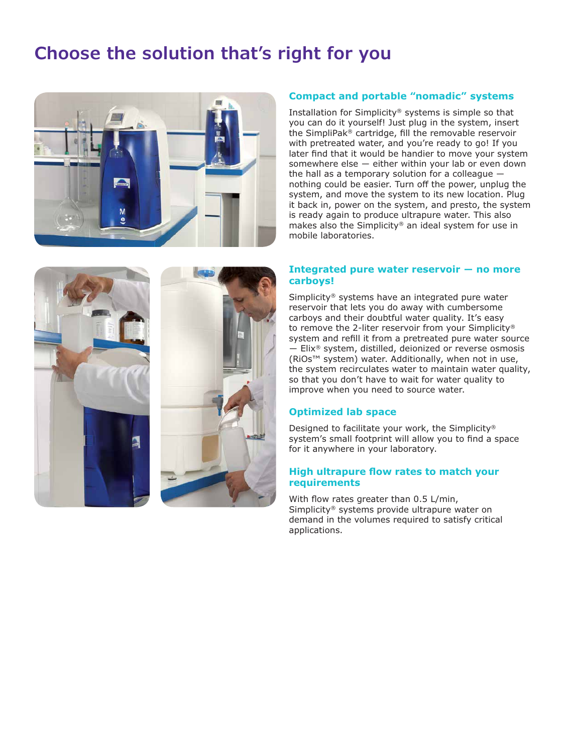# **Choose the solution that's right for you**



### **Compact and portable "nomadic" systems**

Installation for Simplicity® systems is simple so that you can do it yourself! Just plug in the system, insert the SimpliPak® cartridge, fill the removable reservoir with pretreated water, and you're ready to go! If you later find that it would be handier to move your system somewhere else ― either within your lab or even down the hall as a temporary solution for a colleague ― nothing could be easier. Turn off the power, unplug the system, and move the system to its new location. Plug it back in, power on the system, and presto, the system is ready again to produce ultrapure water. This also makes also the Simplicity® an ideal system for use in mobile laboratories.

#### **Integrated pure water reservoir ― no more carboys!**

Simplicity® systems have an integrated pure water reservoir that lets you do away with cumbersome carboys and their doubtful water quality. It's easy to remove the 2-liter reservoir from your Simplicity® system and refill it from a pretreated pure water source ― Elix® system, distilled, deionized or reverse osmosis (RiOs™ system) water. Additionally, when not in use, the system recirculates water to maintain water quality, so that you don't have to wait for water quality to improve when you need to source water.

#### **Optimized lab space**

Designed to facilitate your work, the Simplicity® system's small footprint will allow you to find a space for it anywhere in your laboratory.

#### **High ultrapure flow rates to match your requirements**

With flow rates greater than 0.5 L/min, Simplicity® systems provide ultrapure water on demand in the volumes required to satisfy critical applications.

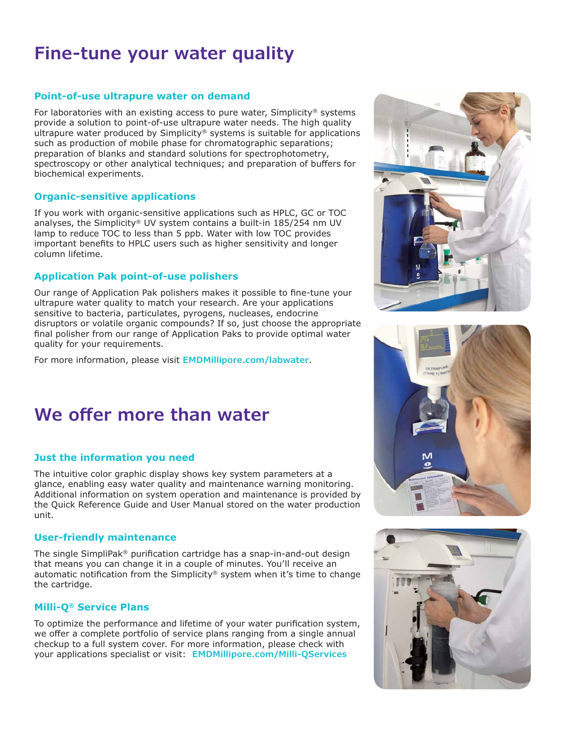# **Fine-tune your water quality**

### **Point-of-use ultrapure water on demand**

For laboratories with an existing access to pure water, Simplicity® systems provide a solution to point-of-use ultrapure water needs. The high quality ultrapure water produced by Simplicity® systems is suitable for applications such as production of mobile phase for chromatographic separations; preparation of blanks and standard solutions for spectrophotometry, spectroscopy or other analytical techniques; and preparation of buffers for biochemical experiments.

#### **Organic-sensitive applications**

If you work with organic-sensitive applications such as HPLC, GC or TOC analyses, the Simplicity<sup>®</sup> UV system contains a built-in  $185/254$  nm UV lamp to reduce TOC to less than 5 ppb. Water with low TOC provides important benefits to HPLC users such as higher sensitivity and longer column lifetime.

### **Application Pak point-of-use polishers**

Our range of Application Pak polishers makes it possible to fine-tune your ultrapure water quality to match your research. Are your applications sensitive to bacteria, particulates, pyrogens, nucleases, endocrine disruptors or volatile organic compounds? If so, just choose the appropriate final polisher from our range of Application Paks to provide optimal water quality for your requirements.

For more information, please visit **EMDMillipore.com/labwater**.

## **We offer more than water**

#### **Just the information you need**

The intuitive color graphic display shows key system parameters at a glance, enabling easy water quality and maintenance warning monitoring. Additional information on system operation and maintenance is provided by the Quick Reference Guide and User Manual stored on the water production unit.

#### **User-friendly maintenance**

The single SimpliPak® purification cartridge has a snap-in-and-out design that means you can change it in a couple of minutes. You'll receive an automatic notification from the Simplicity<sup>®</sup> system when it's time to change the cartridge.

#### **Milli-Q® Service Plans**

To optimize the performance and lifetime of your water purification system, we offer a complete portfolio of service plans ranging from a single annual checkup to a full system cover. For more information, please check with your applications specialist or visit: **EMDMillipore.com/Milli-QServices**





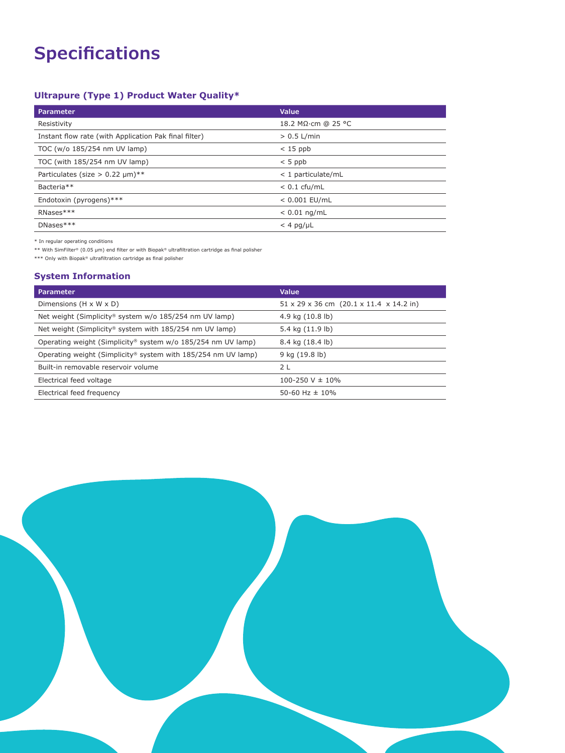# **Specifications**

## **Ultrapure (Type 1) Product Water Quality\***

| <b>Parameter</b>                                      | Value                |
|-------------------------------------------------------|----------------------|
| Resistivity                                           | 18.2 MΩ·cm @ 25 °C   |
| Instant flow rate (with Application Pak final filter) | $> 0.5$ L/min        |
| TOC (w/o 185/254 nm UV lamp)                          | $< 15$ ppb           |
| TOC (with 185/254 nm UV lamp)                         | $< 5$ ppb            |
| Particulates (size $> 0.22 \mu m$ )**                 | $<$ 1 particulate/mL |
| Bacteria <sup>**</sup>                                | $< 0.1$ cfu/mL       |
| Endotoxin (pyrogens)***                               | $< 0.001$ EU/mL      |
| RNases***                                             | $< 0.01$ ng/mL       |
| $DNases***$                                           | $<$ 4 pg/µL          |

 $*$  In regular operating conditions

\*\* With SimFilter® (0.05 µm) end filter or with Biopak® ultrafiltration cartridge as final polisher

\*\*\* Only with Biopak® ultrafiltration cartridge as final polisher

#### **System Information**

| <b>Parameter</b>                                                         | Value                                                           |
|--------------------------------------------------------------------------|-----------------------------------------------------------------|
| Dimensions $(H \times W \times D)$                                       | $51 \times 29 \times 36$ cm $(20.1 \times 11.4 \times 14.2$ in) |
| Net weight (Simplicity® system w/o 185/254 nm UV lamp)                   | 4.9 kg $(10.8 \text{ lb})$                                      |
| Net weight (Simplicity® system with 185/254 nm UV lamp)                  | 5.4 kg (11.9 lb)                                                |
| Operating weight (Simplicity <sup>®</sup> system w/o 185/254 nm UV lamp) | 8.4 kg (18.4 lb)                                                |
| Operating weight (Simplicity® system with 185/254 nm UV lamp)            | 9 kg (19.8 lb)                                                  |
| Built-in removable reservoir volume                                      | 2 L                                                             |
| Electrical feed voltage                                                  | 100-250 V $\pm$ 10%                                             |
| Electrical feed frequency                                                | 50-60 Hz $\pm$ 10%                                              |